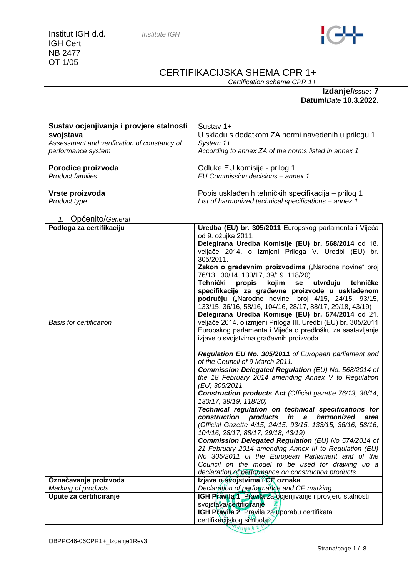

# CERTIFIKACIJSKA SHEMA CPR 1+

*Certification scheme CPR 1+*

**Izdanje/***Issue***: 7 Datum/***Date* **10.3.2022.**

| Sustav ocjenjivanja i provjere stalnosti<br>svojstava<br>Assessment and verification of constancy of<br>performance system | Sustav 1+<br>U skladu s dodatkom ZA normi navedenih u prilogu 1<br>System 1+<br>According to annex ZA of the norms listed in annex 1                                                                                                                                                                                                                                                                                                                                                                                                                                                                                                                                                                                                                                                                                                                                                                                                                                                                                                                                                                                                                                                                                                                                                                                                                                                                                                                                                                      |
|----------------------------------------------------------------------------------------------------------------------------|-----------------------------------------------------------------------------------------------------------------------------------------------------------------------------------------------------------------------------------------------------------------------------------------------------------------------------------------------------------------------------------------------------------------------------------------------------------------------------------------------------------------------------------------------------------------------------------------------------------------------------------------------------------------------------------------------------------------------------------------------------------------------------------------------------------------------------------------------------------------------------------------------------------------------------------------------------------------------------------------------------------------------------------------------------------------------------------------------------------------------------------------------------------------------------------------------------------------------------------------------------------------------------------------------------------------------------------------------------------------------------------------------------------------------------------------------------------------------------------------------------------|
| Porodice proizvoda<br><b>Product families</b>                                                                              | Odluke EU komisije - prilog 1<br>EU Commission decisions - annex 1                                                                                                                                                                                                                                                                                                                                                                                                                                                                                                                                                                                                                                                                                                                                                                                                                                                                                                                                                                                                                                                                                                                                                                                                                                                                                                                                                                                                                                        |
| Vrste proizvoda<br>Product type                                                                                            | Popis usklađenih tehničkih specifikacija – prilog 1<br>List of harmonized technical specifications - annex 1                                                                                                                                                                                                                                                                                                                                                                                                                                                                                                                                                                                                                                                                                                                                                                                                                                                                                                                                                                                                                                                                                                                                                                                                                                                                                                                                                                                              |
| 1. Općenito/General                                                                                                        |                                                                                                                                                                                                                                                                                                                                                                                                                                                                                                                                                                                                                                                                                                                                                                                                                                                                                                                                                                                                                                                                                                                                                                                                                                                                                                                                                                                                                                                                                                           |
| Podloga za certifikaciju<br><b>Basis for certification</b>                                                                 | Uredba (EU) br. 305/2011 Europskog parlamenta i Vijeća<br>od 9. ožujka 2011.<br>Delegirana Uredba Komisije (EU) br. 568/2014 od 18.<br>veljače 2014. o izmjeni Priloga V. Uredbi (EU) br.<br>305/2011.<br>Zakon o građevnim proizvodima ("Narodne novine" broj<br>76/13., 30/14, 130/17, 39/19, 118/20)<br>Tehnički<br>propis<br>kojim<br>utvrđuju<br><b>se</b><br>tehničke<br>specifikacije za građevne proizvode u usklađenom<br>području ("Narodne novine" broj 4/15, 24/15, 93/15,<br>133/15, 36/16, 58/16, 104/16, 28/17, 88/17, 29/18, 43/19)<br>Delegirana Uredba Komisije (EU) br. 574/2014 od 21.<br>veljače 2014. o izmjeni Priloga III. Uredbi (EU) br. 305/2011<br>Europskog parlamenta i Vijeća o predlošku za sastavljanje<br>izjave o svojstvima građevnih proizvoda<br>Regulation EU No. 305/2011 of European parliament and<br>of the Council of 9 March 2011.<br><b>Commission Delegated Regulation (EU) No. 568/2014 of</b><br>the 18 February 2014 amending Annex V to Regulation<br>(EU) 305/2011.<br>Construction products Act (Official gazette 76/13, 30/14,<br>130/17, 39/19, 118/20)<br>Technical regulation on technical specifications for<br>construction products<br>in a<br>harmonized<br>area<br>(Official Gazette 4/15, 24/15, 93/15, 133/15, 36/16, 58/16,<br>104/16, 28/17, 88/17, 29/18, 43/19)<br>Commission Delegated Regulation (EU) No 574/2014 of<br>21 February 2014 amending Annex III to Regulation (EU)<br>No 305/2011 of the European Parliament and of the |
|                                                                                                                            | Council on the model to be used for drawing up a<br>declaration of performance on construction products                                                                                                                                                                                                                                                                                                                                                                                                                                                                                                                                                                                                                                                                                                                                                                                                                                                                                                                                                                                                                                                                                                                                                                                                                                                                                                                                                                                                   |
| Označavanje proizvoda                                                                                                      | Izjava o svojstvima i CE oznaka                                                                                                                                                                                                                                                                                                                                                                                                                                                                                                                                                                                                                                                                                                                                                                                                                                                                                                                                                                                                                                                                                                                                                                                                                                                                                                                                                                                                                                                                           |
| Marking of products                                                                                                        | Declaration of performance and CE marking                                                                                                                                                                                                                                                                                                                                                                                                                                                                                                                                                                                                                                                                                                                                                                                                                                                                                                                                                                                                                                                                                                                                                                                                                                                                                                                                                                                                                                                                 |
| Upute za certificiranje                                                                                                    | IGH Pravila 1: Pravila za ocjenjivanje i provjeru stalnosti<br>svojstava/certificiranje<br>IGH Pravila 2: Pravila za uporabu certifikata i<br>certifikacijskog simbola                                                                                                                                                                                                                                                                                                                                                                                                                                                                                                                                                                                                                                                                                                                                                                                                                                                                                                                                                                                                                                                                                                                                                                                                                                                                                                                                    |

Strana/page 1 / 8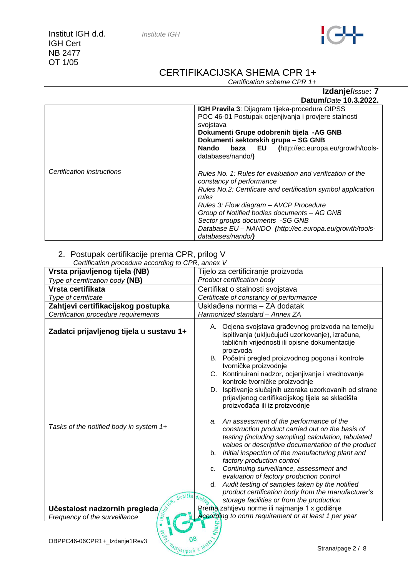

# CERTIFIKACIJSKA SHEMA CPR 1+

*Certification scheme CPR 1+*

**Izdanje/***Issue***: 7 Datum/***Date* **10.3.2022.**

|                            | IGH Pravila 3: Dijagram tijeka-procedura OIPSS<br>POC 46-01 Postupak ocjenjivanja i provjere stalnosti<br>svojstava<br>Dokumenti Grupe odobrenih tijela -AG GNB<br>Dokumenti sektorskih grupa - SG GNB<br>(http://ec.europa.eu/growth/tools-<br><b>Nando</b><br>baza EU<br>databases/nando/)                                                                              |  |  |
|----------------------------|---------------------------------------------------------------------------------------------------------------------------------------------------------------------------------------------------------------------------------------------------------------------------------------------------------------------------------------------------------------------------|--|--|
| Certification instructions | Rules No. 1: Rules for evaluation and verification of the<br>constancy of performance<br>Rules No.2: Certificate and certification symbol application<br>rules<br>Rules 3: Flow diagram - AVCP Procedure<br>Group of Notified bodies documents - AG GNB<br>Sector groups documents -SG GNB<br>Database EU - NANDO (http://ec.europa.eu/growth/tools-<br>databases/nando/) |  |  |

#### 2. Postupak certifikacije prema CPR, prilog V *Certification procedure according to CPR, annex V*

| Centrication procedure according to Cr TV, annex V<br>Vrsta prijavljenog tijela (NB)  | Tijelo za certificiranje proizvoda                                                                                                                                                                          |  |  |
|---------------------------------------------------------------------------------------|-------------------------------------------------------------------------------------------------------------------------------------------------------------------------------------------------------------|--|--|
| Type of certification body (NB)                                                       | Product certification body                                                                                                                                                                                  |  |  |
| Vrsta certifikata                                                                     | Certifikat o stalnosti svojstava                                                                                                                                                                            |  |  |
| Type of certificate                                                                   | Certificate of constancy of performance                                                                                                                                                                     |  |  |
| Zahtjevi certifikacijskog postupka                                                    | Usklađena norma - ZA dodatak                                                                                                                                                                                |  |  |
| Certification procedure requirements                                                  | Harmonized standard - Annex ZA                                                                                                                                                                              |  |  |
| Zadatci prijavljenog tijela u sustavu 1+                                              | A. Ocjena svojstava građevnog proizvoda na temelju<br>ispitivanja (uključujući uzorkovanje), izračuna,<br>tabličnih vrijednosti ili opisne dokumentacije                                                    |  |  |
|                                                                                       | proizvoda<br>B. Početni pregled proizvodnog pogona i kontrole<br>tvorničke proizvodnje<br>C. Kontinuirani nadzor, ocjenjivanje i vrednovanje<br>kontrole tvorničke proizvodnje                              |  |  |
|                                                                                       | D. Ispitivanje slučajnih uzoraka uzorkovanih od strane<br>prijavljenog certifikacijskog tijela sa skladišta<br>proizvođača ili iz proizvodnje                                                               |  |  |
| Tasks of the notified body in system 1+                                               | a. An assessment of the performance of the<br>construction product carried out on the basis of<br>testing (including sampling) calculation, tabulated<br>values or descriptive documentation of the product |  |  |
|                                                                                       | Initial inspection of the manufacturing plant and<br>b.<br>factory production control                                                                                                                       |  |  |
|                                                                                       | Continuing surveillance, assessment and<br>C.                                                                                                                                                               |  |  |
| dioničko                                                                              | evaluation of factory production control<br>Audit testing of samples taken by the notified<br>d.                                                                                                            |  |  |
|                                                                                       | product certification body from the manufacturer's<br>storage facilities or from the production                                                                                                             |  |  |
| Učestalost nadzornih pregleda                                                         | Prema zahtjevu norme ili najmanje 1 x godišnje                                                                                                                                                              |  |  |
| According to norm requirement or at least 1 per year<br>Frequency of the surveillance |                                                                                                                                                                                                             |  |  |
| <b>DO100</b><br>OBPPC46-06CPR1+_Izdanje1Rev3<br>ansliellborg u                        | Strana/page 2 / 8                                                                                                                                                                                           |  |  |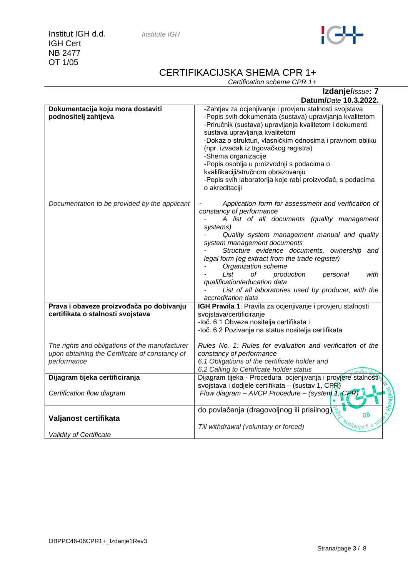| nstitute IGH |  |
|--------------|--|
|--------------|--|

**Institut IGH d.d.** *In* IGH Cert NB 2477 OT 1/05



# CERTIFIKACIJSKA SHEMA CPR 1+

*Certification scheme CPR 1+*

| Izdanje/Issue: 7                                                                                                |                                                                                                                                                                                                                                                                                                                                                                                                                                                                                                                 |  |  |
|-----------------------------------------------------------------------------------------------------------------|-----------------------------------------------------------------------------------------------------------------------------------------------------------------------------------------------------------------------------------------------------------------------------------------------------------------------------------------------------------------------------------------------------------------------------------------------------------------------------------------------------------------|--|--|
|                                                                                                                 | Datum/Date 10.3.2022.                                                                                                                                                                                                                                                                                                                                                                                                                                                                                           |  |  |
| Dokumentacija koju mora dostaviti<br>podnositelj zahtjeva                                                       | -Zahtjev za ocjenjivanje i provjeru stalnosti svojstava<br>-Popis svih dokumenata (sustava) upravljanja kvalitetom<br>-Priručnik (sustava) upravljanja kvalitetom i dokumenti<br>sustava upravljanja kvalitetom<br>-Dokaz o strukturi, vlasničkim odnosima i pravnom obliku<br>(npr. izvadak iz trgovačkog registra)<br>-Shema organizacije<br>-Popis osoblja u proizvodnji s podacima o<br>kvalifikaciji/stručnom obrazovanju<br>-Popis svih laboratorija koje rabi proizvođač, s podacima<br>o akreditaciji   |  |  |
| Documentation to be provided by the applicant                                                                   | Application form for assessment and verification of<br>constancy of performance<br>A list of all documents (quality management<br>systems)<br>Quality system management manual and quality<br>system management documents<br>Structure evidence documents, ownership and<br>legal form (eg extract from the trade register)<br>Organization scheme<br>List<br>οf<br>production<br>with<br>personal<br>qualification/education data<br>List of all laboratories used by producer, with the<br>accreditation data |  |  |
| Prava i obaveze proizvođača po dobivanju                                                                        | IGH Pravila 1: Pravila za ocjenjivanje i provjeru stalnosti                                                                                                                                                                                                                                                                                                                                                                                                                                                     |  |  |
| certifikata o stalnosti svojstava                                                                               | svojstava/certificiranje<br>-toč. 6.1 Obveze nositelja certifikata i<br>-toč. 6.2 Pozivanje na status nositelja certifikata                                                                                                                                                                                                                                                                                                                                                                                     |  |  |
| The rights and obligations of the manufacturer<br>upon obtaining the Certificate of constancy of<br>performance | Rules No. 1: Rules for evaluation and verification of the<br>constancy of performance<br>6.1 Obligations of the certificate holder and<br>6.2 Calling to Certificate holder status                                                                                                                                                                                                                                                                                                                              |  |  |
| Dijagram tijeka certificiranja                                                                                  | Dijagram tijeka - Procedura ocjenjivanja i provjere stalnosti                                                                                                                                                                                                                                                                                                                                                                                                                                                   |  |  |
| Certification flow diagram                                                                                      | svojstava i dodjele certifikata - (sustav 1, CPR)<br>Flow diagram - AVCP Procedure - (system 4, CPR)                                                                                                                                                                                                                                                                                                                                                                                                            |  |  |
| Valjanost certifikata                                                                                           | do povlačenja (dragovoljnog ili prisilnog)<br>08<br>$\frac{94}{5}$ // $\frac{9}{1}$ /01/01/01/01<br>Till withdrawal (voluntary or forced)                                                                                                                                                                                                                                                                                                                                                                       |  |  |
| Validity of Certificate                                                                                         |                                                                                                                                                                                                                                                                                                                                                                                                                                                                                                                 |  |  |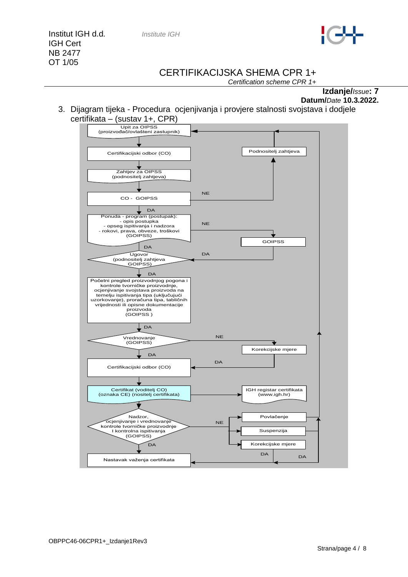

## CERTIFIKACIJSKA SHEMA CPR 1+

*Certification scheme CPR 1+*

**Izdanje/***Issue***: 7 Datum/***Date* **10.3.2022.**

3. Dijagram tijeka - Procedura ocjenjivanja i provjere stalnosti svojstava i dodjele certifikata – (sustav 1+, CPR)

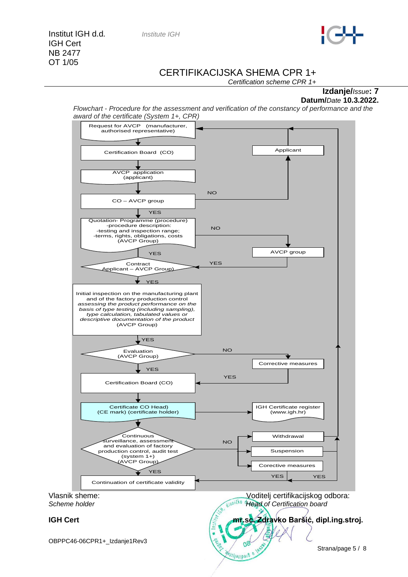Institut IGH d.d*. Institute IGH* IGH Cert NB 2477 OT 1/05

#### CERTIFIKACIJSKA SHEMA CPR 1+

*Certification scheme CPR 1+*

#### **Izdanje/***Issue***: 7 Datum/***Date* **10.3.2022.**

*Flowchart - Procedure for the assessment and verification of the constancy of performance and the award of the certificate (System 1+, CPR)*

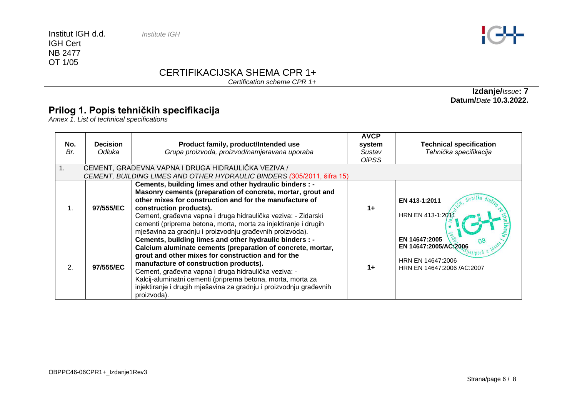Institut IGH d.d*. Institute IGH* IGH Cert NB 2477 OT 1/05



# CERTIFIKACIJSKA SHEMA CPR 1+

*Certification scheme CPR 1+*

## **Prilog 1. Popis tehničkih specifikacija**

*Annex 1. List of technical specifications*

| No.<br>Br.<br>1. | <b>Decision</b><br>Odluka | Product family, product/Intended use<br>Grupa proizvoda, proizvod/namjeravana uporaba<br>CEMENT, GRAĐEVNA VAPNA I DRUGA HIDRAULIČKA VEZIVA /                                                                                                                                                                                                                                                                                       | <b>AVCP</b><br>system<br>Sustav<br><b>OiPSS</b> | <b>Technical specification</b><br>Tehnička specifikacija                                                       |
|------------------|---------------------------|------------------------------------------------------------------------------------------------------------------------------------------------------------------------------------------------------------------------------------------------------------------------------------------------------------------------------------------------------------------------------------------------------------------------------------|-------------------------------------------------|----------------------------------------------------------------------------------------------------------------|
|                  |                           | CEMENT, BUILDING LIMES AND OTHER HYDRAULIC BINDERS (305/2011, šifra 15)                                                                                                                                                                                                                                                                                                                                                            |                                                 |                                                                                                                |
|                  | 97/555/EC                 | Cements, building limes and other hydraulic binders : -<br>Masonry cements (preparation of concrete, mortar, grout and<br>other mixes for construction and for the manufacture of<br>construction products).<br>Cement, građevna vapna i druga hidraulička veziva: - Zidarski<br>cementi (priprema betona, morta, morta za injektiranje i drugih<br>mješavina za gradnju i proizvodnju građevnih proizvoda).                       | $1+$                                            | EN 413-1:2011<br>HRN EN 413-1:2013                                                                             |
| 2.               | 97/555/EC                 | Cements, building limes and other hydraulic binders : -<br>Calcium aluminate cements (preparation of concrete, mortar,<br>grout and other mixes for construction and for the<br>manufacture of construction products).<br>Cement, građevna vapna i druga hidraulička veziva: -<br>Kalcij-aluminatni cementi (priprema betona, morta, morta za<br>injektiranje i drugih mješavina za gradnju i proizvodnju građevnih<br>proizvoda). | $1+$                                            | EN 14647:2005<br>08<br>EN 14647:2005/AC:2006<br>atibolg u<br>HRN EN 14647:2006<br>HRN EN 14647:2006 / AC: 2007 |

**Izdanje/***Issue***: 7 Datum/***Date* **10.3.2022.**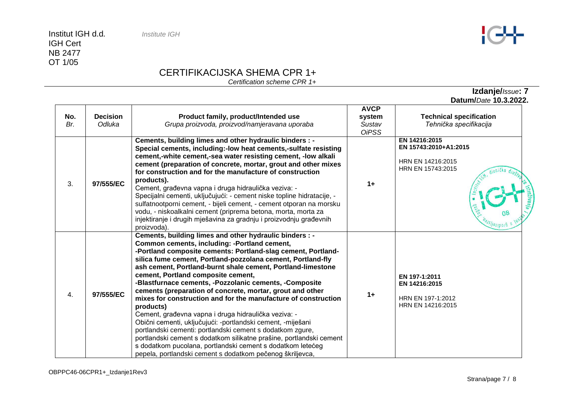IGH Cert NB 2477 OT 1/05

# CERTIFIKACIJSKA SHEMA CPR 1+

*Certification scheme CPR 1+*

|            |                           |                                                                                                                                                                                                                                                                                                                                                                                                                                                                                                                                                                                                                                                                                                                                                                                                                                                                                                                                         |                                                 | Datum/Date 10.3.2022.                                                            |
|------------|---------------------------|-----------------------------------------------------------------------------------------------------------------------------------------------------------------------------------------------------------------------------------------------------------------------------------------------------------------------------------------------------------------------------------------------------------------------------------------------------------------------------------------------------------------------------------------------------------------------------------------------------------------------------------------------------------------------------------------------------------------------------------------------------------------------------------------------------------------------------------------------------------------------------------------------------------------------------------------|-------------------------------------------------|----------------------------------------------------------------------------------|
| No.<br>Br. | <b>Decision</b><br>Odluka | Product family, product/Intended use<br>Grupa proizvoda, proizvod/namjeravana uporaba                                                                                                                                                                                                                                                                                                                                                                                                                                                                                                                                                                                                                                                                                                                                                                                                                                                   | <b>AVCP</b><br>system<br>Sustav<br><b>OiPSS</b> | <b>Technical specification</b><br>Tehnička specifikacija                         |
| 3.         | 97/555/EC                 | Cements, building limes and other hydraulic binders : -<br>Special cements, including:-low heat cements,-sulfate resisting<br>cement,-white cement,-sea water resisting cement, -low alkali<br>cement (preparation of concrete, mortar, grout and other mixes<br>for construction and for the manufacture of construction<br>products).<br>Cement, građevna vapna i druga hidraulička veziva: -<br>Specijalni cementi, uključujući: - cement niske topline hidratacije, -<br>sulfatnootporni cement, - bijeli cement, - cement otporan na morsku<br>vodu, - niskoalkalni cement (priprema betona, morta, morta za<br>injektiranje i drugih mješavina za gradnju i proizvodnju građevnih<br>proizvoda).                                                                                                                                                                                                                                  | $1+$                                            | EN 14216:2015<br>EN 15743:2010+A1:2015<br>HRN EN 14216:2015<br>HRN EN 15743:2015 |
| 4.         | 97/555/EC                 | Cements, building limes and other hydraulic binders : -<br>Common cements, including: -Portland cement,<br>-Portland composite cements: Portland-slag cement, Portland-<br>silica fume cement, Portland-pozzolana cement, Portland-fly<br>ash cement, Portland-burnt shale cement, Portland-limestone<br>cement, Portland composite cement,<br>-Blastfurnace cements, -Pozzolanic cements, -Composite<br>cements (preparation of concrete, mortar, grout and other<br>mixes for construction and for the manufacture of construction<br>products)<br>Cement, građevna vapna i druga hidraulička veziva: -<br>Obični cementi, uključujući: -portlandski cement, -miješani<br>portlandski cementi: portlandski cement s dodatkom zgure,<br>portlandski cement s dodatkom silikatne prašine, portlandski cement<br>s dodatkom pucolana, portlandski cement s dodatkom letećeg<br>pepela, portlandski cement s dodatkom pečenog škriljevca, | $1+$                                            | EN 197-1:2011<br>EN 14216:2015<br>HRN EN 197-1:2012<br>HRN EN 14216:2015         |



**Izdanje/***Issue***: 7**